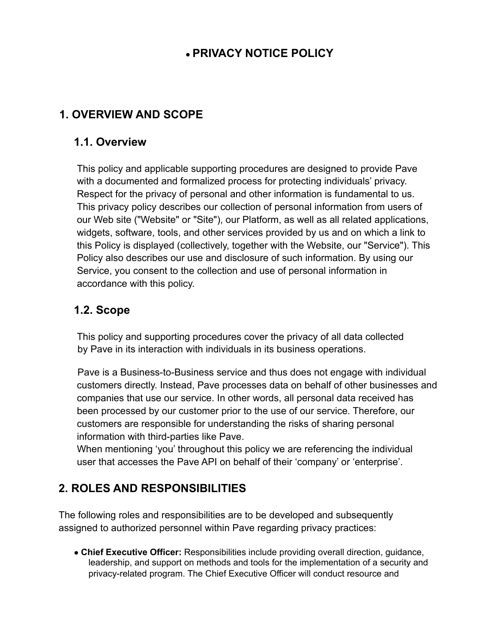## **● PRIVACY NOTICE POLICY**

### **1. OVERVIEW AND SCOPE**

#### **1.1. Overview**

This policy and applicable supporting procedures are designed to provide Pave with a documented and formalized process for protecting individuals' privacy. Respect for the privacy of personal and other information is fundamental to us. This privacy policy describes our collection of personal information from users of our Web site ("Website" or "Site"), our Platform, as well as all related applications, widgets, software, tools, and other services provided by us and on which a link to this Policy is displayed (collectively, together with the Website, our "Service"). This Policy also describes our use and disclosure of such information. By using our Service, you consent to the collection and use of personal information in accordance with this policy.

#### **1.2. Scope**

This policy and supporting procedures cover the privacy of all data collected by Pave in its interaction with individuals in its business operations.

Pave is a Business-to-Business service and thus does not engage with individual customers directly. Instead, Pave processes data on behalf of other businesses and companies that use our service. In other words, all personal data received has been processed by our customer prior to the use of our service. Therefore, our customers are responsible for understanding the risks of sharing personal information with third-parties like Pave.

When mentioning 'you' throughout this policy we are referencing the individual user that accesses the Pave API on behalf of their 'company' or 'enterprise'.

# **2. ROLES AND RESPONSIBILITIES**

The following roles and responsibilities are to be developed and subsequently assigned to authorized personnel within Pave regarding privacy practices:

● **Chief Executive Officer:** Responsibilities include providing overall direction, guidance, leadership, and support on methods and tools for the implementation of a security and privacy-related program. The Chief Executive Officer will conduct resource and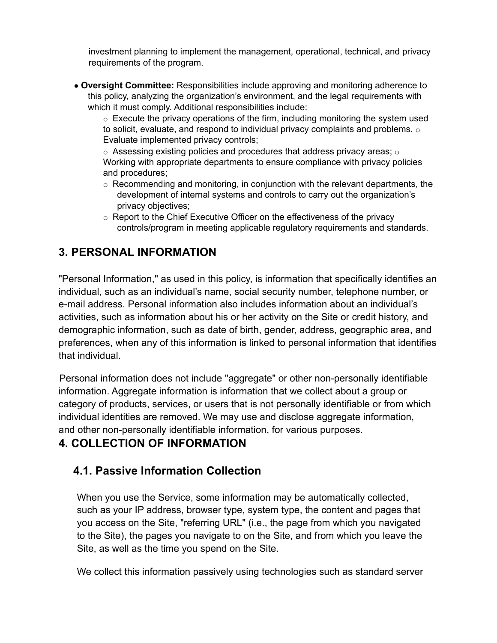investment planning to implement the management, operational, technical, and privacy requirements of the program.

● **Oversight Committee:** Responsibilities include approving and monitoring adherence to this policy, analyzing the organization's environment, and the legal requirements with which it must comply. Additional responsibilities include:

 $\circ$  Execute the privacy operations of the firm, including monitoring the system used to solicit, evaluate, and respond to individual privacy complaints and problems. o Evaluate implemented privacy controls;

 $\circ$  Assessing existing policies and procedures that address privacy areas;  $\circ$ Working with appropriate departments to ensure compliance with privacy policies and procedures;

- $\circ$  Recommending and monitoring, in conjunction with the relevant departments, the development of internal systems and controls to carry out the organization's privacy objectives;
- o Report to the Chief Executive Officer on the effectiveness of the privacy controls/program in meeting applicable regulatory requirements and standards.

## **3. PERSONAL INFORMATION**

"Personal Information," as used in this policy, is information that specifically identifies an individual, such as an individual's name, social security number, telephone number, or e-mail address. Personal information also includes information about an individual's activities, such as information about his or her activity on the Site or credit history, and demographic information, such as date of birth, gender, address, geographic area, and preferences, when any of this information is linked to personal information that identifies that individual.

Personal information does not include "aggregate" or other non-personally identifiable information. Aggregate information is information that we collect about a group or category of products, services, or users that is not personally identifiable or from which individual identities are removed. We may use and disclose aggregate information, and other non-personally identifiable information, for various purposes.

## **4. COLLECTION OF INFORMATION**

## **4.1. Passive Information Collection**

When you use the Service, some information may be automatically collected, such as your IP address, browser type, system type, the content and pages that you access on the Site, "referring URL" (i.e., the page from which you navigated to the Site), the pages you navigate to on the Site, and from which you leave the Site, as well as the time you spend on the Site.

We collect this information passively using technologies such as standard server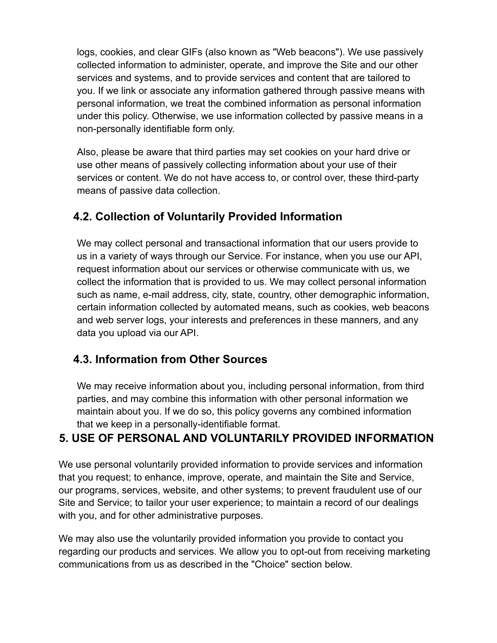logs, cookies, and clear GIFs (also known as "Web beacons"). We use passively collected information to administer, operate, and improve the Site and our other services and systems, and to provide services and content that are tailored to you. If we link or associate any information gathered through passive means with personal information, we treat the combined information as personal information under this policy. Otherwise, we use information collected by passive means in a non-personally identifiable form only.

Also, please be aware that third parties may set cookies on your hard drive or use other means of passively collecting information about your use of their services or content. We do not have access to, or control over, these third-party means of passive data collection.

### **4.2. Collection of Voluntarily Provided Information**

We may collect personal and transactional information that our users provide to us in a variety of ways through our Service. For instance, when you use our API, request information about our services or otherwise communicate with us, we collect the information that is provided to us. We may collect personal information such as name, e-mail address, city, state, country, other demographic information, certain information collected by automated means, such as cookies, web beacons and web server logs, your interests and preferences in these manners, and any data you upload via our API.

#### **4.3. Information from Other Sources**

We may receive information about you, including personal information, from third parties, and may combine this information with other personal information we maintain about you. If we do so, this policy governs any combined information that we keep in a personally-identifiable format.

#### **5. USE OF PERSONAL AND VOLUNTARILY PROVIDED INFORMATION**

We use personal voluntarily provided information to provide services and information that you request; to enhance, improve, operate, and maintain the Site and Service, our programs, services, website, and other systems; to prevent fraudulent use of our Site and Service; to tailor your user experience; to maintain a record of our dealings with you, and for other administrative purposes.

We may also use the voluntarily provided information you provide to contact you regarding our products and services. We allow you to opt-out from receiving marketing communications from us as described in the "Choice" section below.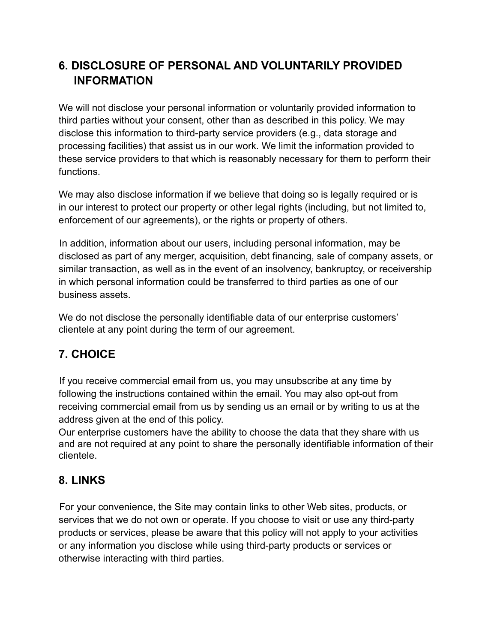## **6. DISCLOSURE OF PERSONAL AND VOLUNTARILY PROVIDED INFORMATION**

We will not disclose your personal information or voluntarily provided information to third parties without your consent, other than as described in this policy. We may disclose this information to third-party service providers (e.g., data storage and processing facilities) that assist us in our work. We limit the information provided to these service providers to that which is reasonably necessary for them to perform their functions.

We may also disclose information if we believe that doing so is legally required or is in our interest to protect our property or other legal rights (including, but not limited to, enforcement of our agreements), or the rights or property of others.

In addition, information about our users, including personal information, may be disclosed as part of any merger, acquisition, debt financing, sale of company assets, or similar transaction, as well as in the event of an insolvency, bankruptcy, or receivership in which personal information could be transferred to third parties as one of our business assets.

We do not disclose the personally identifiable data of our enterprise customers' clientele at any point during the term of our agreement.

## **7. CHOICE**

If you receive commercial email from us, you may unsubscribe at any time by following the instructions contained within the email. You may also opt-out from receiving commercial email from us by sending us an email or by writing to us at the address given at the end of this policy.

Our enterprise customers have the ability to choose the data that they share with us and are not required at any point to share the personally identifiable information of their clientele.

## **8. LINKS**

For your convenience, the Site may contain links to other Web sites, products, or services that we do not own or operate. If you choose to visit or use any third-party products or services, please be aware that this policy will not apply to your activities or any information you disclose while using third-party products or services or otherwise interacting with third parties.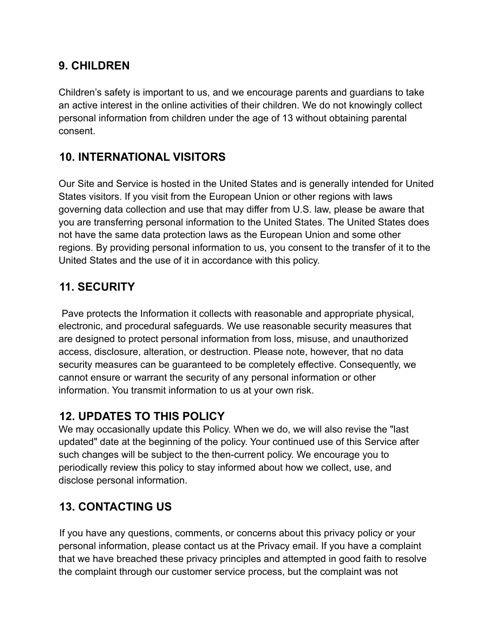### **9. CHILDREN**

Children's safety is important to us, and we encourage parents and guardians to take an active interest in the online activities of their children. We do not knowingly collect personal information from children under the age of 13 without obtaining parental consent.

### **10. INTERNATIONAL VISITORS**

Our Site and Service is hosted in the United States and is generally intended for United States visitors. If you visit from the European Union or other regions with laws governing data collection and use that may differ from U.S. law, please be aware that you are transferring personal information to the United States. The United States does not have the same data protection laws as the European Union and some other regions. By providing personal information to us, you consent to the transfer of it to the United States and the use of it in accordance with this policy.

### **11. SECURITY**

Pave protects the Information it collects with reasonable and appropriate physical, electronic, and procedural safeguards. We use reasonable security measures that are designed to protect personal information from loss, misuse, and unauthorized access, disclosure, alteration, or destruction. Please note, however, that no data security measures can be guaranteed to be completely effective. Consequently, we cannot ensure or warrant the security of any personal information or other information. You transmit information to us at your own risk.

#### **12. UPDATES TO THIS POLICY**

We may occasionally update this Policy. When we do, we will also revise the "last updated" date at the beginning of the policy. Your continued use of this Service after such changes will be subject to the then-current policy. We encourage you to periodically review this policy to stay informed about how we collect, use, and disclose personal information.

## **13. CONTACTING US**

If you have any questions, comments, or concerns about this privacy policy or your personal information, please contact us at the Privacy email. If you have a complaint that we have breached these privacy principles and attempted in good faith to resolve the complaint through our customer service process, but the complaint was not